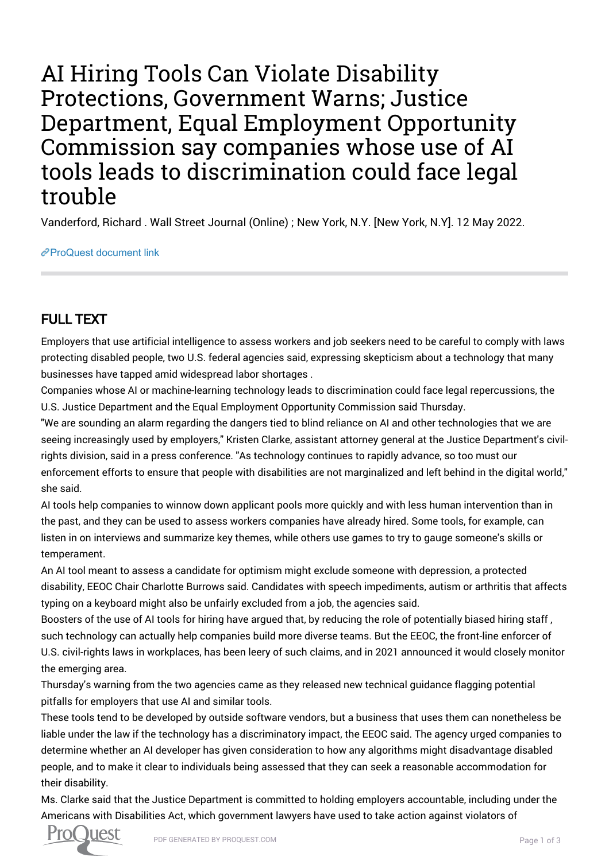## AI Hiring Tools Can Violate Disability Protections, Government Warns; Justice Department, Equal Employment Opportunity Commission say companies whose use of AI tools leads to discrimination could face legal trouble

Vanderford, Richard . Wall Street Journal (Online) ; New York, N.Y. [New York, N.Y]. 12 May 2022.

[ProQuest document link](https://www.proquest.com/newspapers/ai-hiring-tools-can-violate-disability/docview/2663043688/se-2?accountid=44910)

## FULL TEXT

Employers that use artificial intelligence to assess workers and job seekers need to be careful to comply with laws protecting disabled people, two U.S. federal agencies said, expressing skepticism about a technology that many businesses have tapped amid widespread labor shortages .

Companies whose AI or machine-learning technology leads to discrimination could face legal repercussions, the U.S. Justice Department and the Equal Employment Opportunity Commission said Thursday.

"We are sounding an alarm regarding the dangers tied to blind reliance on AI and other technologies that we are seeing increasingly used by employers," Kristen Clarke, assistant attorney general at the Justice Department's civilrights division, said in a press conference. "As technology continues to rapidly advance, so too must our enforcement efforts to ensure that people with disabilities are not marginalized and left behind in the digital world," she said.

AI tools help companies to winnow down applicant pools more quickly and with less human intervention than in the past, and they can be used to assess workers companies have already hired. Some tools, for example, can listen in on interviews and summarize key themes, while others use games to try to gauge someone's skills or temperament.

An AI tool meant to assess a candidate for optimism might exclude someone with depression, a protected disability, EEOC Chair Charlotte Burrows said. Candidates with speech impediments, autism or arthritis that affects typing on a keyboard might also be unfairly excluded from a job, the agencies said.

Boosters of the use of AI tools for hiring have argued that, by reducing the role of potentially biased hiring staff , such technology can actually help companies build more diverse teams. But the EEOC, the front-line enforcer of U.S. civil-rights laws in workplaces, has been leery of such claims, and in 2021 announced it would closely monitor the emerging area.

Thursday's warning from the two agencies came as they released new technical guidance flagging potential pitfalls for employers that use AI and similar tools.

These tools tend to be developed by outside software vendors, but a business that uses them can nonetheless be liable under the law if the technology has a discriminatory impact, the EEOC said. The agency urged companies to determine whether an AI developer has given consideration to how any algorithms might disadvantage disabled people, and to make it clear to individuals being assessed that they can seek a reasonable accommodation for their disability.

Ms. Clarke said that the Justice Department is committed to holding employers accountable, including under the Americans with Disabilities Act, which government lawyers have used to take action against violators of

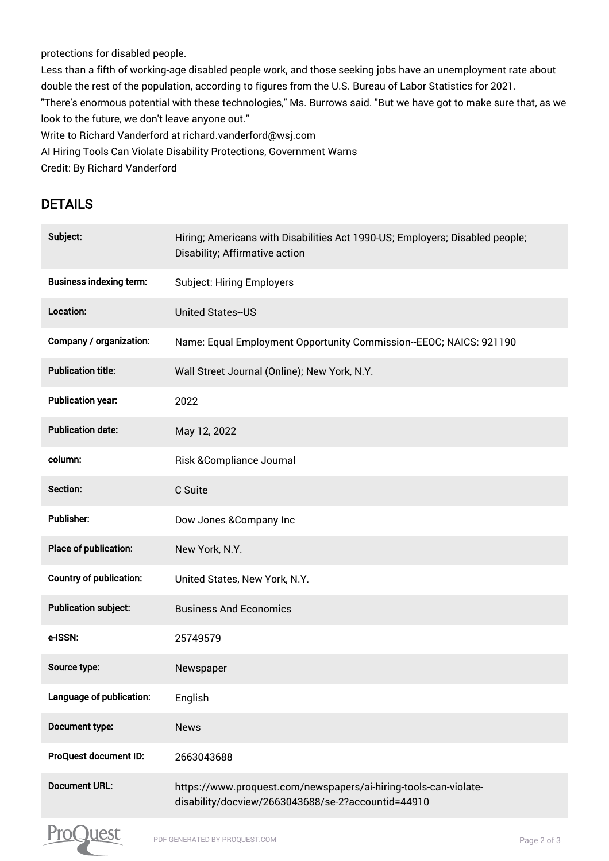protections for disabled people.

Less than a fifth of working-age disabled people work, and those seeking jobs have an unemployment rate about double the rest of the population, according to figures from the U.S. Bureau of Labor Statistics for 2021. "There's enormous potential with these technologies," Ms. Burrows said. "But we have got to make sure that, as we look to the future, we don't leave anyone out." Write to Richard Vanderford at richard.vanderford@wsj.com

AI Hiring Tools Can Violate Disability Protections, Government Warns

Credit: By Richard Vanderford

## DETAILS

| Subject:                       | Hiring; Americans with Disabilities Act 1990-US; Employers; Disabled people;<br>Disability; Affirmative action         |
|--------------------------------|------------------------------------------------------------------------------------------------------------------------|
| <b>Business indexing term:</b> | <b>Subject: Hiring Employers</b>                                                                                       |
| Location:                      | <b>United States-US</b>                                                                                                |
| Company / organization:        | Name: Equal Employment Opportunity Commission--EEOC; NAICS: 921190                                                     |
| <b>Publication title:</b>      | Wall Street Journal (Online); New York, N.Y.                                                                           |
| <b>Publication year:</b>       | 2022                                                                                                                   |
| <b>Publication date:</b>       | May 12, 2022                                                                                                           |
| column:                        | Risk & Compliance Journal                                                                                              |
| Section:                       | C Suite                                                                                                                |
| <b>Publisher:</b>              | Dow Jones & Company Inc                                                                                                |
| Place of publication:          | New York, N.Y.                                                                                                         |
| <b>Country of publication:</b> | United States, New York, N.Y.                                                                                          |
| <b>Publication subject:</b>    | <b>Business And Economics</b>                                                                                          |
| e-ISSN:                        | 25749579                                                                                                               |
| Source type:                   | Newspaper                                                                                                              |
| Language of publication:       | English                                                                                                                |
| Document type:                 | <b>News</b>                                                                                                            |
| ProQuest document ID:          | 2663043688                                                                                                             |
| <b>Document URL:</b>           | https://www.proquest.com/newspapers/ai-hiring-tools-can-violate-<br>disability/docview/2663043688/se-2?accountid=44910 |